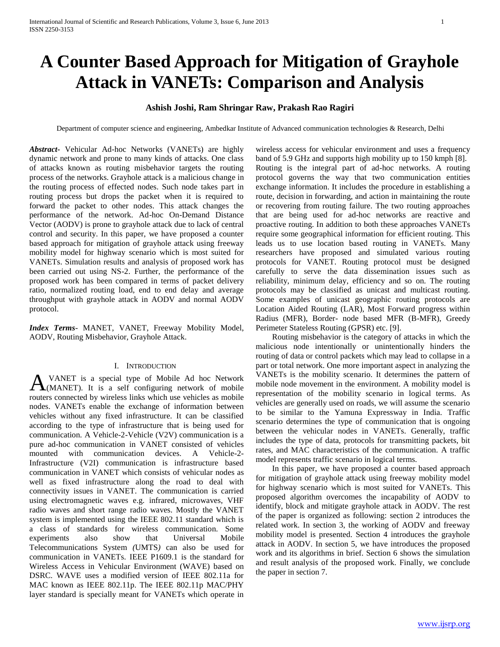# **A Counter Based Approach for Mitigation of Grayhole Attack in VANETs: Comparison and Analysis**

# **Ashish Joshi, Ram Shringar Raw, Prakash Rao Ragiri**

Department of computer science and engineering, Ambedkar Institute of Advanced communication technologies & Research, Delhi

*Abstract***-** Vehicular Ad-hoc Networks (VANETs) are highly dynamic network and prone to many kinds of attacks. One class of attacks known as routing misbehavior targets the routing process of the networks. Grayhole attack is a malicious change in the routing process of effected nodes. Such node takes part in routing process but drops the packet when it is required to forward the packet to other nodes. This attack changes the performance of the network. Ad-hoc On-Demand Distance Vector (AODV) is prone to grayhole attack due to lack of central control and security. In this paper, we have proposed a counter based approach for mitigation of grayhole attack using freeway mobility model for highway scenario which is most suited for VANETs. Simulation results and analysis of proposed work has been carried out using NS-2. Further, the performance of the proposed work has been compared in terms of packet delivery ratio, normalized routing load, end to end delay and average throughput with grayhole attack in AODV and normal AODV protocol.

*Index Terms*- MANET, VANET, Freeway Mobility Model, AODV, Routing Misbehavior, Grayhole Attack.

# I. INTRODUCTION

VANET is a special type of Mobile Ad hoc Network A VANET is a special type of Mobile Ad hoc Network<br>
(MANET). It is a self configuring network of mobile routers connected by wireless links which use vehicles as mobile nodes. VANETs enable the exchange of information between vehicles without any fixed infrastructure. It can be classified according to the type of infrastructure that is being used for communication. A Vehicle-2-Vehicle (V2V) communication is a pure ad-hoc communication in VANET consisted of vehicles mounted with communication devices. A Vehicle-2- Infrastructure (V2I) communication is infrastructure based communication in VANET which consists of vehicular nodes as well as fixed infrastructure along the road to deal with connectivity issues in VANET. The communication is carried using electromagnetic waves e.g. infrared, microwaves, VHF radio waves and short range radio waves. Mostly the VANET system is implemented using the IEEE 802.11 standard which is a class of standards for wireless communication. Some experiments also show that Universal Mobile Telecommunications System *(*UMTS*)* can also be used for communication in VANETs. IEEE P1609.1 is the standard for Wireless Access in Vehicular Environment (WAVE) based on DSRC. WAVE uses a modified version of IEEE 802.11a for MAC known as IEEE 802.11p. The IEEE 802.11p MAC/PHY layer standard is specially meant for VANETs which operate in

wireless access for vehicular environment and uses a frequency band of 5.9 GHz and supports high mobility up to 150 kmph [8]. Routing is the integral part of ad-hoc networks. A routing protocol governs the way that two communication entities exchange information. It includes the procedure in establishing a route, decision in forwarding, and action in maintaining the route or recovering from routing failure. The two routing approaches that are being used for ad-hoc networks are reactive and proactive routing. In addition to both these approaches VANETs require some geographical information for efficient routing. This leads us to use location based routing in VANETs. Many researchers have proposed and simulated various routing protocols for VANET. Routing protocol must be designed carefully to serve the data dissemination issues such as reliability, minimum delay, efficiency and so on. The routing protocols may be classified as unicast and multicast routing. Some examples of unicast geographic routing protocols are Location Aided Routing (LAR), Most Forward progress within Radius (MFR), Border- node based MFR (B-MFR), Greedy Perimeter Stateless Routing (GPSR) etc. [9].

 Routing misbehavior is the category of attacks in which the malicious node intentionally or unintentionally hinders the routing of data or control packets which may lead to collapse in a part or total network. One more important aspect in analyzing the VANETs is the mobility scenario. It determines the pattern of mobile node movement in the environment. A mobility model is representation of the mobility scenario in logical terms. As vehicles are generally used on roads, we will assume the scenario to be similar to the Yamuna Expressway in India. Traffic scenario determines the type of communication that is ongoing between the vehicular nodes in VANETs. Generally, traffic includes the type of data, protocols for transmitting packets, bit rates, and MAC characteristics of the communication. A traffic model represents traffic scenario in logical terms.

 In this paper, we have proposed a counter based approach for mitigation of grayhole attack using freeway mobility model for highway scenario which is most suited for VANETs. This proposed algorithm overcomes the incapability of AODV to identify, block and mitigate grayhole attack in AODV. The rest of the paper is organized as following: section 2 introduces the related work. In section 3, the working of AODV and freeway mobility model is presented. Section 4 introduces the grayhole attack in AODV. In section 5, we have introduces the proposed work and its algorithms in brief. Section 6 shows the simulation and result analysis of the proposed work. Finally, we conclude the paper in section 7.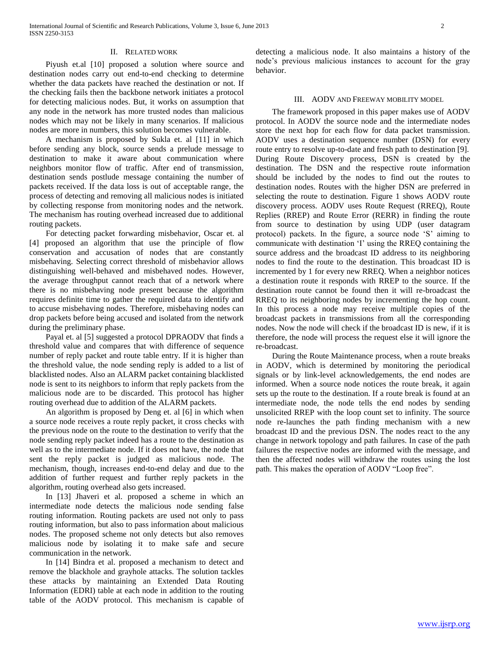#### II. RELATED WORK

 Piyush et.al [10] proposed a solution where source and destination nodes carry out end-to-end checking to determine whether the data packets have reached the destination or not. If the checking fails then the backbone network initiates a protocol for detecting malicious nodes. But, it works on assumption that any node in the network has more trusted nodes than malicious nodes which may not be likely in many scenarios. If malicious nodes are more in numbers, this solution becomes vulnerable.

 A mechanism is proposed by Sukla et. al [11] in which before sending any block, source sends a prelude message to destination to make it aware about communication where neighbors monitor flow of traffic. After end of transmission, destination sends postlude message containing the number of packets received. If the data loss is out of acceptable range, the process of detecting and removing all malicious nodes is initiated by collecting response from monitoring nodes and the network. The mechanism has routing overhead increased due to additional routing packets.

 For detecting packet forwarding misbehavior, Oscar et. al [4] proposed an algorithm that use the principle of flow conservation and accusation of nodes that are constantly misbehaving. Selecting correct threshold of misbehavior allows distinguishing well-behaved and misbehaved nodes. However, the average throughput cannot reach that of a network where there is no misbehaving node present because the algorithm requires definite time to gather the required data to identify and to accuse misbehaving nodes. Therefore, misbehaving nodes can drop packets before being accused and isolated from the network during the preliminary phase.

 Payal et. al [5] suggested a protocol DPRAODV that finds a threshold value and compares that with difference of sequence number of reply packet and route table entry. If it is higher than the threshold value, the node sending reply is added to a list of blacklisted nodes. Also an ALARM packet containing blacklisted node is sent to its neighbors to inform that reply packets from the malicious node are to be discarded. This protocol has higher routing overhead due to addition of the ALARM packets.

 An algorithm is proposed by Deng et. al [6] in which when a source node receives a route reply packet, it cross checks with the previous node on the route to the destination to verify that the node sending reply packet indeed has a route to the destination as well as to the intermediate node. If it does not have, the node that sent the reply packet is judged as malicious node. The mechanism, though, increases end-to-end delay and due to the addition of further request and further reply packets in the algorithm, routing overhead also gets increased.

 In [13] Jhaveri et al. proposed a scheme in which an intermediate node detects the malicious node sending false routing information. Routing packets are used not only to pass routing information, but also to pass information about malicious nodes. The proposed scheme not only detects but also removes malicious node by isolating it to make safe and secure communication in the network.

 In [14] Bindra et al. proposed a mechanism to detect and remove the blackhole and grayhole attacks. The solution tackles these attacks by maintaining an Extended Data Routing Information (EDRI) table at each node in addition to the routing table of the AODV protocol. This mechanism is capable of detecting a malicious node. It also maintains a history of the node's previous malicious instances to account for the gray behavior.

# III. AODV AND FREEWAY MOBILITY MODEL

 The framework proposed in this paper makes use of AODV protocol. In AODV the source node and the intermediate nodes store the next hop for each flow for data packet transmission. AODV uses a destination sequence number (DSN) for every route entry to resolve up-to-date and fresh path to destination [9]. During Route Discovery process, DSN is created by the destination. The DSN and the respective route information should be included by the nodes to find out the routes to destination nodes. Routes with the higher DSN are preferred in selecting the route to destination. Figure 1 shows AODV route discovery process. AODV uses Route Request (RREQ), Route Replies (RREP) and Route Error (RERR) in finding the route from source to destination by using UDP (user datagram protocol) packets. In the figure, a source node 'S' aiming to communicate with destination 'I' using the RREQ containing the source address and the broadcast ID address to its neighboring nodes to find the route to the destination. This broadcast ID is incremented by 1 for every new RREQ. When a neighbor notices a destination route it responds with RREP to the source. If the destination route cannot be found then it will re-broadcast the RREQ to its neighboring nodes by incrementing the hop count. In this process a node may receive multiple copies of the broadcast packets in transmissions from all the corresponding nodes. Now the node will check if the broadcast ID is new, if it is therefore, the node will process the request else it will ignore the re-broadcast.

 During the Route Maintenance process, when a route breaks in AODV, which is determined by monitoring the periodical signals or by link-level acknowledgements, the end nodes are informed. When a source node notices the route break, it again sets up the route to the destination. If a route break is found at an intermediate node, the node tells the end nodes by sending unsolicited RREP with the loop count set to infinity. The source node re-launches the path finding mechanism with a new broadcast ID and the previous DSN. The nodes react to the any change in network topology and path failures. In case of the path failures the respective nodes are informed with the message, and then the affected nodes will withdraw the routes using the lost path. This makes the operation of AODV "Loop free".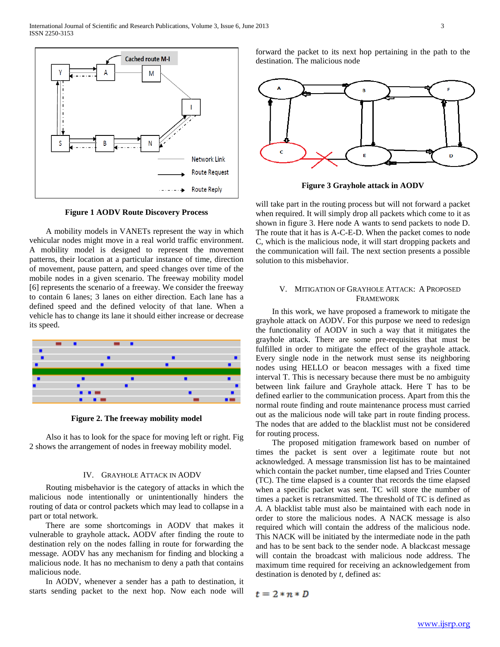

**Figure 1 AODV Route Discovery Process**

 A mobility models in VANETs represent the way in which vehicular nodes might move in a real world traffic environment. A mobility model is designed to represent the movement patterns, their location at a particular instance of time, direction of movement, pause pattern, and speed changes over time of the mobile nodes in a given scenario. The freeway mobility model [6] represents the scenario of a freeway. We consider the freeway to contain 6 lanes; 3 lanes on either direction. Each lane has a defined speed and the defined velocity of that lane. When a vehicle has to change its lane it should either increase or decrease its speed.



**Figure 2. The freeway mobility model**

 Also it has to look for the space for moving left or right. Fig 2 shows the arrangement of nodes in freeway mobility model.

## IV. GRAYHOLE ATTACK IN AODV

 Routing misbehavior is the category of attacks in which the malicious node intentionally or unintentionally hinders the routing of data or control packets which may lead to collapse in a part or total network.

 There are some shortcomings in AODV that makes it vulnerable to grayhole attack**.** AODV after finding the route to destination rely on the nodes falling in route for forwarding the message. AODV has any mechanism for finding and blocking a malicious node. It has no mechanism to deny a path that contains malicious node.

 In AODV, whenever a sender has a path to destination, it starts sending packet to the next hop. Now each node will forward the packet to its next hop pertaining in the path to the destination. The malicious node



**Figure 3 Grayhole attack in AODV**

will take part in the routing process but will not forward a packet when required. It will simply drop all packets which come to it as shown in figure 3. Here node A wants to send packets to node D. The route that it has is A-C-E-D. When the packet comes to node C, which is the malicious node, it will start dropping packets and the communication will fail. The next section presents a possible solution to this misbehavior.

# V. MITIGATION OF GRAYHOLE ATTACK: A PROPOSED FRAMEWORK

 In this work, we have proposed a framework to mitigate the grayhole attack on AODV. For this purpose we need to redesign the functionality of AODV in such a way that it mitigates the grayhole attack. There are some pre-requisites that must be fulfilled in order to mitigate the effect of the grayhole attack. Every single node in the network must sense its neighboring nodes using HELLO or beacon messages with a fixed time interval T. This is necessary because there must be no ambiguity between link failure and Grayhole attack. Here T has to be defined earlier to the communication process. Apart from this the normal route finding and route maintenance process must carried out as the malicious node will take part in route finding process. The nodes that are added to the blacklist must not be considered for routing process.

 The proposed mitigation framework based on number of times the packet is sent over a legitimate route but not acknowledged. A message transmission list has to be maintained which contain the packet number, time elapsed and Tries Counter (TC). The time elapsed is a counter that records the time elapsed when a specific packet was sent. TC will store the number of times a packet is retransmitted. The threshold of TC is defined as *A*. A blacklist table must also be maintained with each node in order to store the malicious nodes. A NACK message is also required which will contain the address of the malicious node. This NACK will be initiated by the intermediate node in the path and has to be sent back to the sender node. A blackcast message will contain the broadcast with malicious node address. The maximum time required for receiving an acknowledgement from destination is denoted by *t*, defined as:

 $t=2*n*D$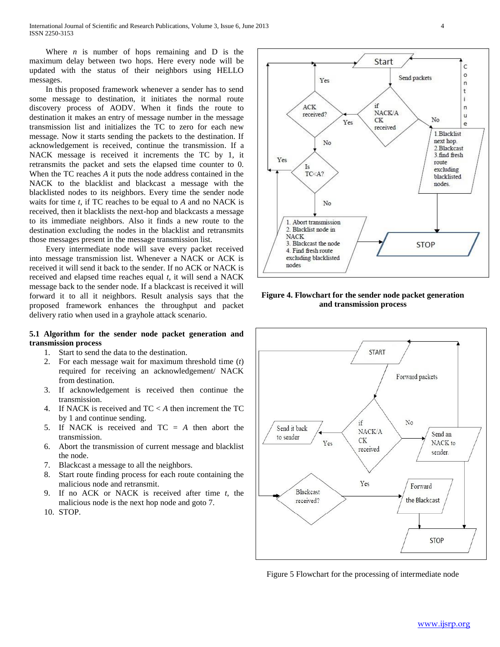International Journal of Scientific and Research Publications, Volume 3, Issue 6, June 2013 4 ISSN 2250-3153

Where  $n$  is number of hops remaining and  $D$  is the maximum delay between two hops. Here every node will be updated with the status of their neighbors using HELLO messages.

 In this proposed framework whenever a sender has to send some message to destination, it initiates the normal route discovery process of AODV. When it finds the route to destination it makes an entry of message number in the message transmission list and initializes the TC to zero for each new message. Now it starts sending the packets to the destination. If acknowledgement is received, continue the transmission. If a NACK message is received it increments the TC by 1, it retransmits the packet and sets the elapsed time counter to 0. When the TC reaches *A* it puts the node address contained in the NACK to the blacklist and blackcast a message with the blacklisted nodes to its neighbors. Every time the sender node waits for time *t,* if TC reaches to be equal to *A* and no NACK is received, then it blacklists the next-hop and blackcasts a message to its immediate neighbors. Also it finds a new route to the destination excluding the nodes in the blacklist and retransmits those messages present in the message transmission list.

 Every intermediate node will save every packet received into message transmission list. Whenever a NACK or ACK is received it will send it back to the sender. If no ACK or NACK is received and elapsed time reaches equal *t*, it will send a NACK message back to the sender node. If a blackcast is received it will forward it to all it neighbors. Result analysis says that the proposed framework enhances the throughput and packet delivery ratio when used in a grayhole attack scenario.

# **5.1 Algorithm for the sender node packet generation and transmission process**

- 1. Start to send the data to the destination.
- 2. For each message wait for maximum threshold time (*t*) required for receiving an acknowledgement/ NACK from destination.
- 3. If acknowledgement is received then continue the transmission.
- 4. If NACK is received and TC < *A* then increment the TC by 1 and continue sending.
- 5. If NACK is received and TC = *A* then abort the transmission.
- 6. Abort the transmission of current message and blacklist the node.
- 7. Blackcast a message to all the neighbors.
- 8. Start route finding process for each route containing the malicious node and retransmit.
- 9. If no ACK or NACK is received after time *t*, the malicious node is the next hop node and goto 7.
- 10. STOP.



**Figure 4. Flowchart for the sender node packet generation and transmission process**



Figure 5 Flowchart for the processing of intermediate node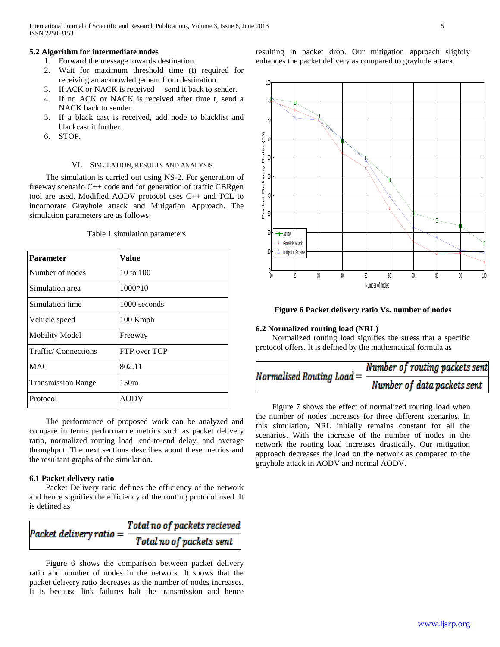# **5.2 Algorithm for intermediate nodes**

- 1. Forward the message towards destination.
- 2. Wait for maximum threshold time (t) required for receiving an acknowledgement from destination.
- 3. If ACK or NACK is received send it back to sender.
- 4. If no ACK or NACK is received after time t, send a NACK back to sender.
- 5. If a black cast is received, add node to blacklist and blackcast it further.
- 6. STOP.

# VI. SIMULATION, RESULTS AND ANALYSIS

 The simulation is carried out using NS-2. For generation of freeway scenario C++ code and for generation of traffic CBRgen tool are used. Modified AODV protocol uses C++ and TCL to incorporate Grayhole attack and Mitigation Approach. The simulation parameters are as follows:

| <b>Parameter</b>          | Value        |
|---------------------------|--------------|
| Number of nodes           | 10 to $100$  |
| Simulation area           | 1000*10      |
| Simulation time           | 1000 seconds |
| Vehicle speed             | 100 Kmph     |
| <b>Mobility Model</b>     | Freeway      |
| Traffic/Connections       | FTP over TCP |
| <b>MAC</b>                | 802.11       |
| <b>Transmission Range</b> | 150m         |
| Protocol                  | <b>AODV</b>  |

Table 1 simulation parameters

 The performance of proposed work can be analyzed and compare in terms performance metrics such as packet delivery ratio, normalized routing load, end-to-end delay, and average throughput. The next sections describes about these metrics and the resultant graphs of the simulation.

#### **6.1 Packet delivery ratio**

 Packet Delivery ratio defines the efficiency of the network and hence signifies the efficiency of the routing protocol used. It is defined as

| Packet delivery ratio = | Total no of packets recieved |
|-------------------------|------------------------------|
|                         | Total no of packets sent     |

 Figure 6 shows the comparison between packet delivery ratio and number of nodes in the network. It shows that the packet delivery ratio decreases as the number of nodes increases. It is because link failures halt the transmission and hence resulting in packet drop. Our mitigation approach slightly enhances the packet delivery as compared to grayhole attack.



# **Figure 6 Packet delivery ratio Vs. number of nodes**

## **6.2 Normalized routing load (NRL)**

 Normalized routing load signifies the stress that a specific protocol offers. It is defined by the mathematical formula as

# Number of routing packets sent Normalised Routing Load  $=$   $\frac{1}{2}$ Number of data packets sent

 Figure 7 shows the effect of normalized routing load when the number of nodes increases for three different scenarios. In this simulation, NRL initially remains constant for all the scenarios. With the increase of the number of nodes in the network the routing load increases drastically. Our mitigation approach decreases the load on the network as compared to the grayhole attack in AODV and normal AODV.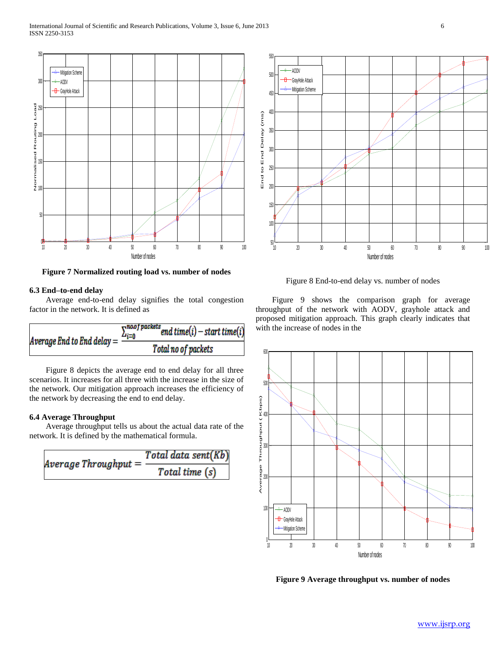

**Figure 7 Normalized routing load vs. number of nodes**

## **6.3 End–to-end delay**

 Average end-to-end delay signifies the total congestion factor in the network. It is defined as

$$
Average End to End delay = \frac{\sum_{i=0}^{no of packets} end time(i) - start time(i)}{Total no of packets}
$$

 Figure 8 depicts the average end to end delay for all three scenarios. It increases for all three with the increase in the size of the network. Our mitigation approach increases the efficiency of the network by decreasing the end to end delay.

# **6.4 Average Throughput**

 Average throughput tells us about the actual data rate of the network. It is defined by the mathematical formula.

$$
Average Throughput = \frac{Total data sent(Kb)}{Total time (s)}
$$



Figure 8 End-to-end delay vs. number of nodes

 Figure 9 shows the comparison graph for average throughput of the network with AODV, grayhole attack and proposed mitigation approach. This graph clearly indicates that with the increase of nodes in the



**Figure 9 Average throughput vs. number of nodes**